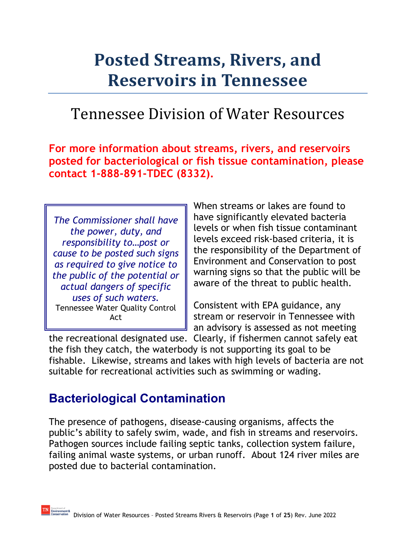# **Posted Streams, Rivers, and Reservoirs in Tennessee**

# Tennessee Division of Water Resources

**For more information about streams, rivers, and reservoirs posted for bacteriological or fish tissue contamination, please contact 1-888-891-TDEC (8332).**

*The Commissioner shall have the power, duty, and responsibility to…post or cause to be posted such signs as required to give notice to the public of the potential or actual dangers of specific uses of such waters.*  Tennessee Water Quality Control Act

When streams or lakes are found to have significantly elevated bacteria levels or when fish tissue contaminant levels exceed risk-based criteria, it is the responsibility of the Department of Environment and Conservation to post warning signs so that the public will be aware of the threat to public health.

Consistent with EPA guidance, any stream or reservoir in Tennessee with an advisory is assessed as not meeting

the recreational designated use. Clearly, if fishermen cannot safely eat the fish they catch, the waterbody is not supporting its goal to be fishable. Likewise, streams and lakes with high levels of bacteria are not suitable for recreational activities such as swimming or wading.

# **Bacteriological Contamination**

The presence of pathogens, disease-causing organisms, affects the public's ability to safely swim, wade, and fish in streams and reservoirs. Pathogen sources include failing septic tanks, collection system failure, failing animal waste systems, or urban runoff. About 124 river miles are posted due to bacterial contamination.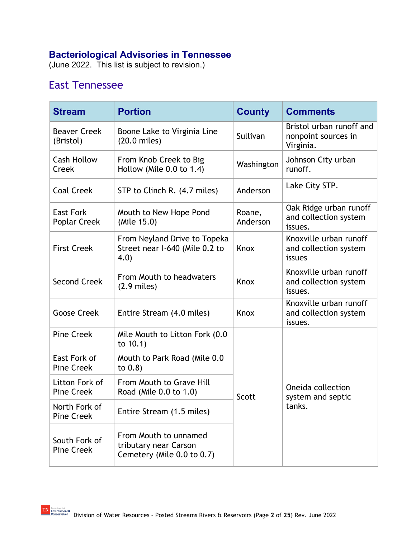### **Bacteriological Advisories in Tennessee**

(June 2022. This list is subject to revision.)

# East Tennessee

| <b>Stream</b>                       | <b>Portion</b>                                                                 | <b>County</b>                                              | <b>Comments</b>                                              |  |
|-------------------------------------|--------------------------------------------------------------------------------|------------------------------------------------------------|--------------------------------------------------------------|--|
| <b>Beaver Creek</b><br>(Bristol)    | Boone Lake to Virginia Line<br>$(20.0 \text{ miles})$                          | Sullivan                                                   | Bristol urban runoff and<br>nonpoint sources in<br>Virginia. |  |
| <b>Cash Hollow</b><br>Creek         | From Knob Creek to Big<br>Hollow (Mile 0.0 to 1.4)                             | Washington                                                 | Johnson City urban<br>runoff.                                |  |
| <b>Coal Creek</b>                   | STP to Clinch R. (4.7 miles)                                                   | Anderson                                                   | Lake City STP.                                               |  |
| <b>East Fork</b><br>Poplar Creek    | Mouth to New Hope Pond<br>(Mile 15.0)                                          | Oak Ridge urban runoff<br>and collection system<br>issues. |                                                              |  |
| <b>First Creek</b>                  | From Neyland Drive to Topeka<br>Street near I-640 (Mile 0.2 to<br>Knox<br>4.0) |                                                            | Knoxville urban runoff<br>and collection system<br>issues    |  |
| <b>Second Creek</b>                 | From Mouth to headwaters<br>$(2.9$ miles)                                      | Knox                                                       | Knoxville urban runoff<br>and collection system<br>issues.   |  |
| <b>Goose Creek</b>                  | Entire Stream (4.0 miles)                                                      | Knox                                                       | Knoxville urban runoff<br>and collection system<br>issues.   |  |
| <b>Pine Creek</b>                   | Mile Mouth to Litton Fork (0.0<br>to $10.1$ )                                  |                                                            |                                                              |  |
| East Fork of<br><b>Pine Creek</b>   | Mouth to Park Road (Mile 0.0)<br>to $0.8$ )                                    |                                                            |                                                              |  |
| Litton Fork of<br><b>Pine Creek</b> | From Mouth to Grave Hill<br>Road (Mile 0.0 to 1.0)                             | Scott                                                      | Oneida collection<br>system and septic                       |  |
| North Fork of<br>Pine Creek         | Entire Stream (1.5 miles)                                                      |                                                            | tanks.                                                       |  |
| South Fork of<br><b>Pine Creek</b>  | From Mouth to unnamed<br>tributary near Carson<br>Cemetery (Mile 0.0 to 0.7)   |                                                            |                                                              |  |

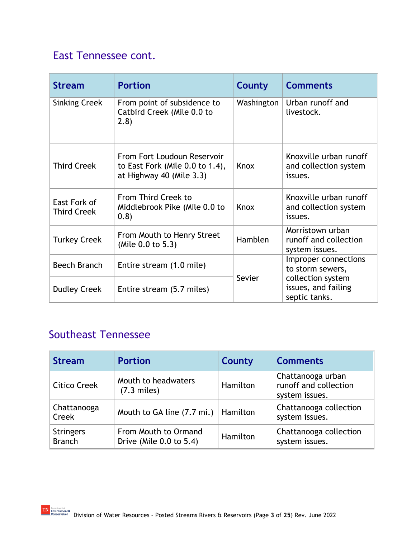| <b>Stream</b>                      | <b>Portion</b>                                                                             | County     | <b>Comments</b>                                             |
|------------------------------------|--------------------------------------------------------------------------------------------|------------|-------------------------------------------------------------|
| <b>Sinking Creek</b>               | From point of subsidence to<br>Catbird Creek (Mile 0.0 to<br>(2.8)                         | Washington | Urban runoff and<br>livestock.                              |
| <b>Third Creek</b>                 | From Fort Loudoun Reservoir<br>to East Fork (Mile 0.0 to 1.4),<br>at Highway 40 (Mile 3.3) | Knox       | Knoxville urban runoff<br>and collection system<br>issues.  |
| East Fork of<br><b>Third Creek</b> | From Third Creek to<br>Middlebrook Pike (Mile 0.0 to<br>(0.8)                              | Knox       | Knoxville urban runoff<br>and collection system<br>issues.  |
| <b>Turkey Creek</b>                | From Mouth to Henry Street<br>(Mile 0.0 to 5.3)                                            |            | Morristown urban<br>runoff and collection<br>system issues. |
| Beech Branch                       | Entire stream (1.0 mile)                                                                   |            | Improper connections<br>to storm sewers,                    |
| <b>Dudley Creek</b>                | Entire stream (5.7 miles)                                                                  | Sevier     | collection system<br>issues, and failing<br>septic tanks.   |

# Southeast Tennessee

| <b>Stream</b>                     | <b>Portion</b>                                  | County   | <b>Comments</b>                                              |
|-----------------------------------|-------------------------------------------------|----------|--------------------------------------------------------------|
| <b>Citico Creek</b>               | Mouth to headwaters<br>$(7.3$ miles)            | Hamilton | Chattanooga urban<br>runoff and collection<br>system issues. |
| Chattanooga<br>Creek              | Mouth to GA line $(7.7 \text{ mi.})$   Hamilton |          | Chattanooga collection<br>system issues.                     |
| <b>Stringers</b><br><b>Branch</b> | From Mouth to Ormand<br>Drive (Mile 0.0 to 5.4) | Hamilton | Chattanooga collection<br>system issues.                     |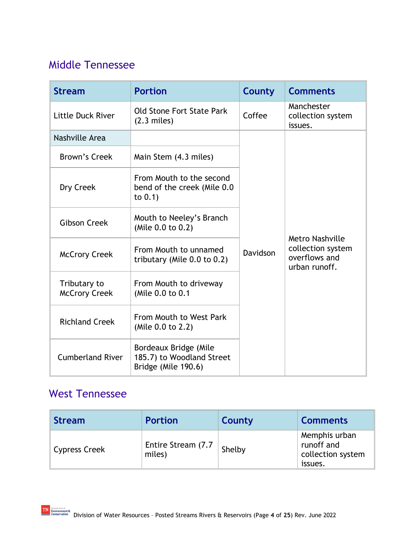## Middle Tennessee

| <b>Stream</b>                        | <b>Portion</b>                                                            | County   | <b>Comments</b>                                                               |
|--------------------------------------|---------------------------------------------------------------------------|----------|-------------------------------------------------------------------------------|
| Little Duck River                    | Old Stone Fort State Park<br>$(2.3$ miles)                                | Coffee   | Manchester<br>collection system<br>issues.                                    |
| Nashville Area                       |                                                                           |          |                                                                               |
| Brown's Creek                        | Main Stem (4.3 miles)                                                     |          |                                                                               |
| Dry Creek                            | From Mouth to the second<br>bend of the creek (Mile 0.0)<br>to $0.1$ )    |          |                                                                               |
| <b>Gibson Creek</b>                  | Mouth to Neeley's Branch<br>(Mile 0.0 to 0.2)                             |          |                                                                               |
| <b>McCrory Creek</b>                 | From Mouth to unnamed<br>tributary (Mile $0.0$ to $0.2$ )                 | Davidson | <b>Metro Nashville</b><br>collection system<br>overflows and<br>urban runoff. |
| Tributary to<br><b>McCrory Creek</b> | From Mouth to driveway<br>(Mile 0.0 to 0.1                                |          |                                                                               |
| <b>Richland Creek</b>                | From Mouth to West Park<br>(Mile 0.0 to 2.2)                              |          |                                                                               |
| <b>Cumberland River</b>              | Bordeaux Bridge (Mile<br>185.7) to Woodland Street<br>Bridge (Mile 190.6) |          |                                                                               |

# West Tennessee

| <b>Stream</b> | <b>Portion</b>                | County | <b>Comments</b>                                             |
|---------------|-------------------------------|--------|-------------------------------------------------------------|
| Cypress Creek | Entire Stream (7.7)<br>miles) | Shelby | Memphis urban<br>runoff and<br>collection system<br>issues. |

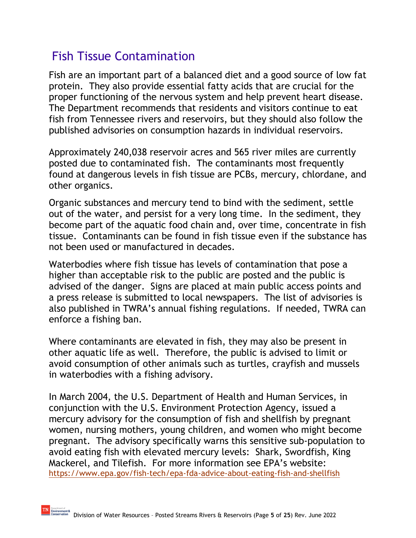# Fish Tissue Contamination

Fish are an important part of a balanced diet and a good source of low fat protein. They also provide essential fatty acids that are crucial for the proper functioning of the nervous system and help prevent heart disease. The Department recommends that residents and visitors continue to eat fish from Tennessee rivers and reservoirs, but they should also follow the published advisories on consumption hazards in individual reservoirs.

Approximately 240,038 reservoir acres and 565 river miles are currently posted due to contaminated fish. The contaminants most frequently found at dangerous levels in fish tissue are PCBs, mercury, chlordane, and other organics.

Organic substances and mercury tend to bind with the sediment, settle out of the water, and persist for a very long time. In the sediment, they become part of the aquatic food chain and, over time, concentrate in fish tissue. Contaminants can be found in fish tissue even if the substance has not been used or manufactured in decades.

Waterbodies where fish tissue has levels of contamination that pose a higher than acceptable risk to the public are posted and the public is advised of the danger. Signs are placed at main public access points and a press release is submitted to local newspapers. The list of advisories is also published in TWRA's annual fishing regulations. If needed, TWRA can enforce a fishing ban.

Where contaminants are elevated in fish, they may also be present in other aquatic life as well. Therefore, the public is advised to limit or avoid consumption of other animals such as turtles, crayfish and mussels in waterbodies with a fishing advisory.

In March 2004, the U.S. Department of Health and Human Services, in conjunction with the U.S. Environment Protection Agency, issued a mercury advisory for the consumption of fish and shellfish by pregnant women, nursing mothers, young children, and women who might become pregnant. The advisory specifically warns this sensitive sub-population to avoid eating fish with elevated mercury levels: Shark, Swordfish, King Mackerel, and Tilefish. For more information see EPA's website: <https://www.epa.gov/fish-tech/epa-fda-advice-about-eating-fish-and-shellfish>

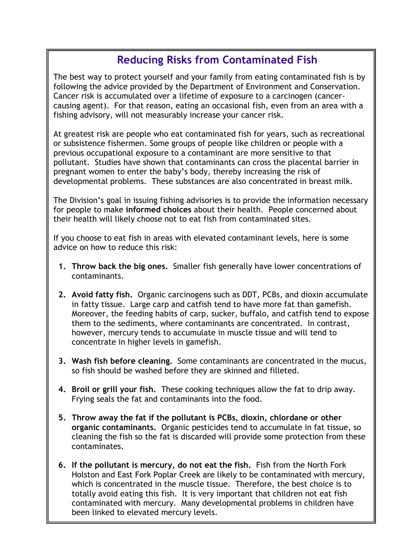## **Reducing Risks from Contaminated Fish**

The best way to protect yourself and your family from eating contaminated fish is by following the advice provided by the Department of Environment and Conservation. Cancer risk is accumulated over a lifetime of exposure to a carcinogen (cancercausing agent). For that reason, eating an occasional fish, even from an area with a fishing advisory, will not measurably increase your cancer risk.

At greatest risk are people who eat contaminated fish for years, such as recreational or subsistence fishermen. Some groups of people like children or people with a previous occupational exposure to a contaminant are more sensitive to that pollutant. Studies have shown that contaminants can cross the placental barrier in pregnant women to enter the baby's body, thereby increasing the risk of developmental problems. These substances are also concentrated in breast milk.

The Division's goal in issuing fishing advisories is to provide the information necessary for people to make **informed choices** about their health. People concerned about their health will likely choose not to eat fish from contaminated sites.

If you choose to eat fish in areas with elevated contaminant levels, here is some advice on how to reduce this risk:

- **1. Throw back the big ones.** Smaller fish generally have lower concentrations of contaminants.
- **2. Avoid fatty fish.** Organic carcinogens such as DDT, PCBs, and dioxin accumulate in fatty tissue. Large carp and catfish tend to have more fat than gamefish. Moreover, the feeding habits of carp, sucker, buffalo, and catfish tend to expose them to the sediments, where contaminants are concentrated. In contrast, however, mercury tends to accumulate in muscle tissue and will tend to concentrate in higher levels in gamefish.
- **3. Wash fish before cleaning.** Some contaminants are concentrated in the mucus, so fish should be washed before they are skinned and filleted.
- **4. Broil or grill your fish.** These cooking techniques allow the fat to drip away. Frying seals the fat and contaminants into the food.
- **5. Throw away the fat if the pollutant is PCBs, dioxin, chlordane or other organic contaminants.** Organic pesticides tend to accumulate in fat tissue, so cleaning the fish so the fat is discarded will provide some protection from these contaminates.
- **6. If the pollutant is mercury, do not eat the fish.** Fish from the North Fork Holston and East Fork Poplar Creek are likely to be contaminated with mercury, which is concentrated in the muscle tissue. Therefore, the best choice is to totally avoid eating this fish. It is very important that children not eat fish contaminated with mercury. Many developmental problems in children have been linked to elevated mercury levels.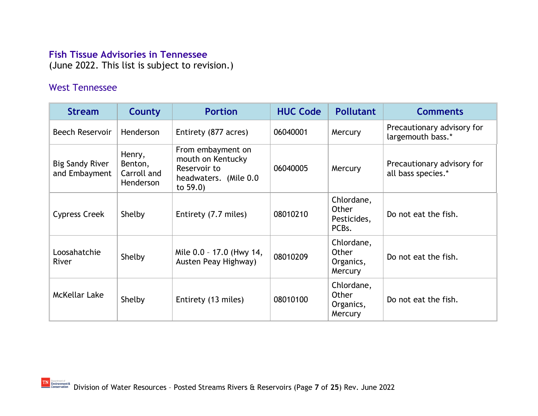#### **Fish Tissue Advisories in Tennessee**

(June 2022. This list is subject to revision.)

#### West Tennessee

| <b>Stream</b>                           | County                                        | <b>Portion</b>                                                                                 | <b>HUC Code</b> | <b>Pollutant</b>                                         | <b>Comments</b>                                  |
|-----------------------------------------|-----------------------------------------------|------------------------------------------------------------------------------------------------|-----------------|----------------------------------------------------------|--------------------------------------------------|
| <b>Beech Reservoir</b>                  | Henderson                                     | Entirety (877 acres)                                                                           | 06040001        | Mercury                                                  | Precautionary advisory for<br>largemouth bass.*  |
| <b>Big Sandy River</b><br>and Embayment | Henry,<br>Benton,<br>Carroll and<br>Henderson | From embayment on<br>mouth on Kentucky<br>Reservoir to<br>headwaters. (Mile 0.0<br>to $59.0$ ) | 06040005        | Mercury                                                  | Precautionary advisory for<br>all bass species.* |
| Cypress Creek                           | Shelby                                        | Entirety (7.7 miles)                                                                           | 08010210        | Chlordane,<br>Other<br>Pesticides,<br>PCB <sub>s</sub> . | Do not eat the fish.                             |
| Loosahatchie<br><b>River</b>            | Shelby                                        | Mile 0.0 - 17.0 (Hwy 14,<br>Austen Peay Highway)                                               | 08010209        | Chlordane,<br>Other<br>Organics,<br>Mercury              | Do not eat the fish.                             |
| McKellar Lake                           | Shelby                                        | Entirety (13 miles)                                                                            | 08010100        | Chlordane,<br>Other<br>Organics,<br>Mercury              | Do not eat the fish.                             |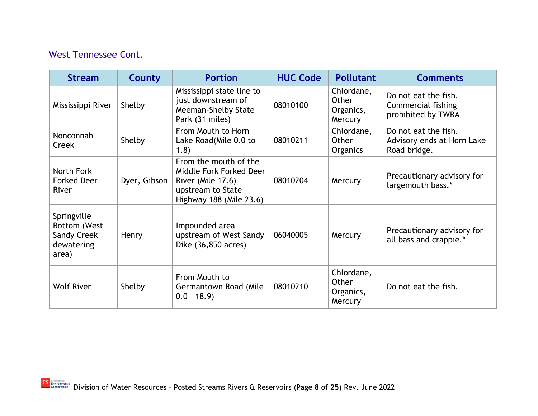### West Tennessee Cont.

| <b>Stream</b>                                                            | County       | <b>Portion</b>                                                                                                        | <b>HUC Code</b> | <b>Pollutant</b>                            | <b>Comments</b>                                                    |
|--------------------------------------------------------------------------|--------------|-----------------------------------------------------------------------------------------------------------------------|-----------------|---------------------------------------------|--------------------------------------------------------------------|
| Mississippi River                                                        | Shelby       | Mississippi state line to<br>just downstream of<br>Meeman-Shelby State<br>Park (31 miles)                             | 08010100        | Chlordane,<br>Other<br>Organics,<br>Mercury | Do not eat the fish.<br>Commercial fishing<br>prohibited by TWRA   |
| Nonconnah<br>Creek                                                       | Shelby       | From Mouth to Horn<br>Lake Road(Mile 0.0 to<br>1.8)                                                                   | 08010211        | Chlordane,<br>Other<br><b>Organics</b>      | Do not eat the fish.<br>Advisory ends at Horn Lake<br>Road bridge. |
| North Fork<br><b>Forked Deer</b><br>River                                | Dyer, Gibson | From the mouth of the<br>Middle Fork Forked Deer<br>River (Mile 17.6)<br>upstream to State<br>Highway 188 (Mile 23.6) | 08010204        | Mercury                                     | Precautionary advisory for<br>largemouth bass.*                    |
| Springville<br>Bottom (West<br><b>Sandy Creek</b><br>dewatering<br>area) | Henry        | Impounded area<br>upstream of West Sandy<br>Dike (36,850 acres)                                                       | 06040005        | Mercury                                     | Precautionary advisory for<br>all bass and crappie.*               |
| <b>Wolf River</b>                                                        | Shelby       | From Mouth to<br>Germantown Road (Mile<br>$0.0 - 18.9$                                                                | 08010210        | Chlordane,<br>Other<br>Organics,<br>Mercury | Do not eat the fish.                                               |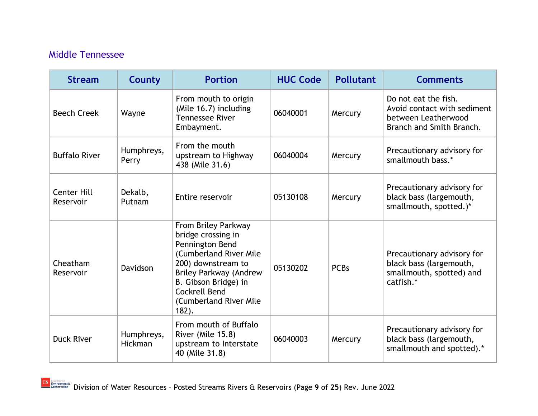#### Middle Tennessee

| <b>Stream</b>                   | <b>County</b>                | <b>Portion</b>                                                                                                                                                                                                                      | <b>HUC Code</b> | <b>Pollutant</b> | <b>Comments</b>                                                                                        |
|---------------------------------|------------------------------|-------------------------------------------------------------------------------------------------------------------------------------------------------------------------------------------------------------------------------------|-----------------|------------------|--------------------------------------------------------------------------------------------------------|
| <b>Beech Creek</b>              | Wayne                        | From mouth to origin<br>(Mile 16.7) including<br><b>Tennessee River</b><br>Embayment.                                                                                                                                               | 06040001        | Mercury          | Do not eat the fish.<br>Avoid contact with sediment<br>between Leatherwood<br>Branch and Smith Branch. |
| <b>Buffalo River</b>            | Humphreys,<br>Perry          | From the mouth<br>upstream to Highway<br>438 (Mile 31.6)                                                                                                                                                                            | 06040004        | Mercury          | Precautionary advisory for<br>smallmouth bass.*                                                        |
| <b>Center Hill</b><br>Reservoir | Dekalb,<br>Putnam            | Entire reservoir                                                                                                                                                                                                                    | 05130108        | Mercury          | Precautionary advisory for<br>black bass (largemouth,<br>smallmouth, spotted.)*                        |
| Cheatham<br>Reservoir           | Davidson                     | From Briley Parkway<br>bridge crossing in<br>Pennington Bend<br>(Cumberland River Mile<br>200) downstream to<br><b>Briley Parkway (Andrew</b><br>B. Gibson Bridge) in<br><b>Cockrell Bend</b><br>(Cumberland River Mile<br>$182$ ). | 05130202        | <b>PCBs</b>      | Precautionary advisory for<br>black bass (largemouth,<br>smallmouth, spotted) and<br>catfish.*         |
| <b>Duck River</b>               | Humphreys,<br><b>Hickman</b> | From mouth of Buffalo<br>River (Mile 15.8)<br>upstream to Interstate<br>40 (Mile 31.8)                                                                                                                                              | 06040003        | Mercury          | Precautionary advisory for<br>black bass (largemouth,<br>smallmouth and spotted).*                     |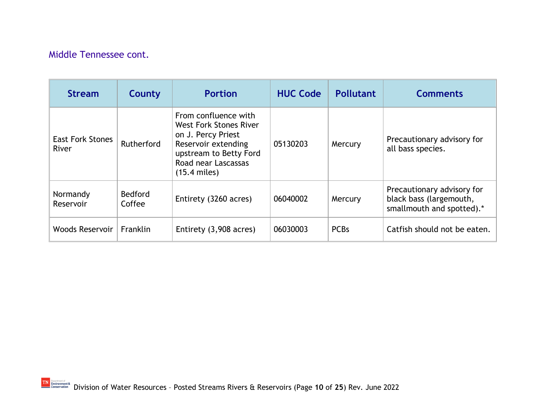#### Middle Tennessee cont.

| <b>Stream</b>                    | County                   | <b>Portion</b>                                                                                                                                                        | <b>HUC Code</b> | <b>Pollutant</b> | <b>Comments</b>                                                                    |
|----------------------------------|--------------------------|-----------------------------------------------------------------------------------------------------------------------------------------------------------------------|-----------------|------------------|------------------------------------------------------------------------------------|
| <b>East Fork Stones</b><br>River | Rutherford               | From confluence with<br><b>West Fork Stones River</b><br>on J. Percy Priest<br>Reservoir extending<br>upstream to Betty Ford<br>Road near Lascassas<br>$(15.4$ miles) | 05130203        | Mercury          | Precautionary advisory for<br>all bass species.                                    |
| Normandy<br>Reservoir            | <b>Bedford</b><br>Coffee | Entirety (3260 acres)                                                                                                                                                 | 06040002        | Mercury          | Precautionary advisory for<br>black bass (largemouth,<br>smallmouth and spotted).* |
| Woods Reservoir                  | Franklin                 | Entirety (3,908 acres)                                                                                                                                                | 06030003        | <b>PCBs</b>      | Catfish should not be eaten.                                                       |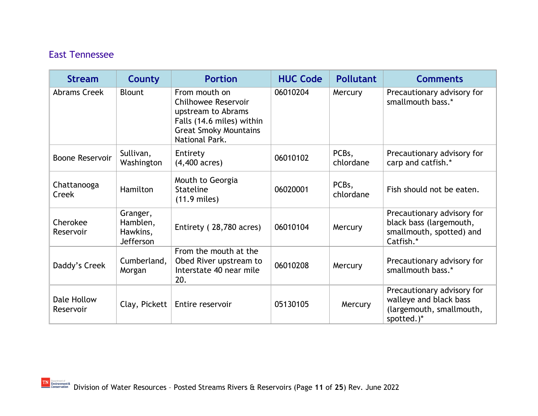# East Tennessee

| <b>Stream</b>            | County                                        | <b>Portion</b>                                                                                                                                   | <b>HUC Code</b> | <b>Pollutant</b>                | <b>Comments</b>                                                                                |
|--------------------------|-----------------------------------------------|--------------------------------------------------------------------------------------------------------------------------------------------------|-----------------|---------------------------------|------------------------------------------------------------------------------------------------|
| Abrams Creek             | <b>Blount</b>                                 | From mouth on<br><b>Chilhowee Reservoir</b><br>upstream to Abrams<br>Falls (14.6 miles) within<br><b>Great Smoky Mountains</b><br>National Park. | 06010204        | Mercury                         | Precautionary advisory for<br>smallmouth bass.*                                                |
| <b>Boone Reservoir</b>   | Sullivan,<br>Washington                       | Entirety<br>$(4,400 \text{ acres})$                                                                                                              | 06010102        | PCB <sub>s</sub> ,<br>chlordane | Precautionary advisory for<br>carp and catfish.*                                               |
| Chattanooga<br>Creek     | Hamilton                                      | Mouth to Georgia<br><b>Stateline</b><br>$(11.9$ miles)                                                                                           | 06020001        | PCBs,<br>chlordane              | Fish should not be eaten.                                                                      |
| Cherokee<br>Reservoir    | Granger,<br>Hamblen,<br>Hawkins,<br>Jefferson | Entirety (28,780 acres)                                                                                                                          | 06010104        | Mercury                         | Precautionary advisory for<br>black bass (largemouth,<br>smallmouth, spotted) and<br>Catfish.* |
| Daddy's Creek            | Cumberland,<br>Morgan                         | From the mouth at the<br>Obed River upstream to<br>Interstate 40 near mile<br>20.                                                                | 06010208        | Mercury                         | Precautionary advisory for<br>smallmouth bass.*                                                |
| Dale Hollow<br>Reservoir | Clay, Pickett                                 | Entire reservoir                                                                                                                                 | 05130105        | Mercury                         | Precautionary advisory for<br>walleye and black bass<br>(largemouth, smallmouth,<br>spotted.)* |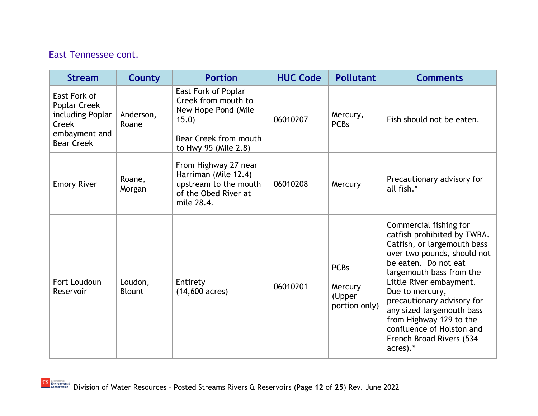| <b>Stream</b>                                                                                          | <b>County</b>            | <b>Portion</b>                                                                                                              | <b>HUC Code</b> | <b>Pollutant</b>                                  | <b>Comments</b>                                                                                                                                                                                                                                                                                                                                                                  |
|--------------------------------------------------------------------------------------------------------|--------------------------|-----------------------------------------------------------------------------------------------------------------------------|-----------------|---------------------------------------------------|----------------------------------------------------------------------------------------------------------------------------------------------------------------------------------------------------------------------------------------------------------------------------------------------------------------------------------------------------------------------------------|
| East Fork of<br><b>Poplar Creek</b><br>including Poplar<br>Creek<br>embayment and<br><b>Bear Creek</b> | Anderson,<br>Roane       | East Fork of Poplar<br>Creek from mouth to<br>New Hope Pond (Mile<br>15.0)<br>Bear Creek from mouth<br>to Hwy 95 (Mile 2.8) | 06010207        | Mercury,<br><b>PCBs</b>                           | Fish should not be eaten.                                                                                                                                                                                                                                                                                                                                                        |
| <b>Emory River</b>                                                                                     | Roane,<br>Morgan         | From Highway 27 near<br>Harriman (Mile 12.4)<br>upstream to the mouth<br>of the Obed River at<br>mile 28.4.                 | 06010208        | Mercury                                           | Precautionary advisory for<br>all fish.*                                                                                                                                                                                                                                                                                                                                         |
| Fort Loudoun<br>Reservoir                                                                              | Loudon,<br><b>Blount</b> | Entirety<br>$(14,600 \text{ acres})$                                                                                        | 06010201        | <b>PCBs</b><br>Mercury<br>(Upper<br>portion only) | Commercial fishing for<br>catfish prohibited by TWRA.<br>Catfish, or largemouth bass<br>over two pounds, should not<br>be eaten. Do not eat<br>largemouth bass from the<br>Little River embayment.<br>Due to mercury,<br>precautionary advisory for<br>any sized largemouth bass<br>from Highway 129 to the<br>confluence of Holston and<br>French Broad Rivers (534<br>acres).* |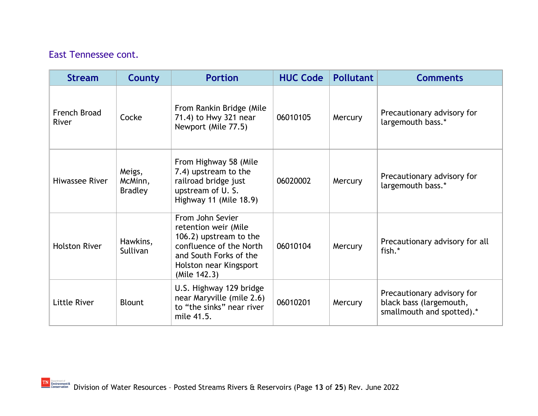| <b>Stream</b>         | County                              | <b>Portion</b>                                                                                                                                                    | <b>HUC Code</b> | <b>Pollutant</b> | <b>Comments</b>                                                                    |
|-----------------------|-------------------------------------|-------------------------------------------------------------------------------------------------------------------------------------------------------------------|-----------------|------------------|------------------------------------------------------------------------------------|
| French Broad<br>River | Cocke                               | From Rankin Bridge (Mile<br>71.4) to Hwy 321 near<br>Newport (Mile 77.5)                                                                                          | 06010105        | Mercury          | Precautionary advisory for<br>largemouth bass.*                                    |
| Hiwassee River        | Meigs,<br>McMinn,<br><b>Bradley</b> | From Highway 58 (Mile<br>7.4) upstream to the<br>railroad bridge just<br>upstream of U.S.<br>Highway 11 (Mile 18.9)                                               | 06020002        | Mercury          | Precautionary advisory for<br>largemouth bass.*                                    |
| <b>Holston River</b>  | Hawkins,<br>Sullivan                | From John Sevier<br>retention weir (Mile<br>106.2) upstream to the<br>confluence of the North<br>and South Forks of the<br>Holston near Kingsport<br>(Mile 142.3) | 06010104        | Mercury          | Precautionary advisory for all<br>fish.*                                           |
| Little River          | <b>Blount</b>                       | U.S. Highway 129 bridge<br>near Maryville (mile 2.6)<br>to "the sinks" near river<br>mile 41.5.                                                                   | 06010201        | Mercury          | Precautionary advisory for<br>black bass (largemouth,<br>smallmouth and spotted).* |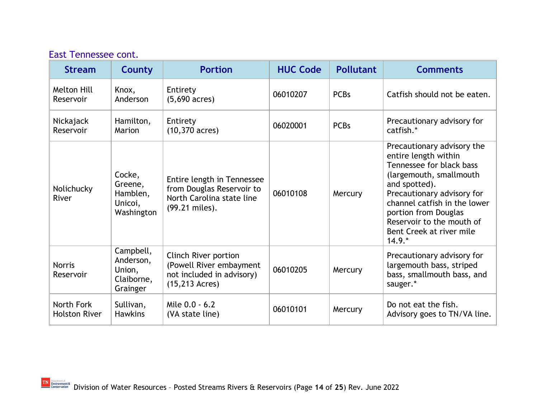| <b>Stream</b>              | County                                                     | <b>Portion</b>                                                                                         | <b>HUC Code</b> | <b>Pollutant</b> | <b>Comments</b>                                                                                                                                                                                                                                                                       |
|----------------------------|------------------------------------------------------------|--------------------------------------------------------------------------------------------------------|-----------------|------------------|---------------------------------------------------------------------------------------------------------------------------------------------------------------------------------------------------------------------------------------------------------------------------------------|
| Melton Hill<br>Reservoir   | Knox,<br>Anderson                                          | Entirety<br>$(5,690 \text{ acres})$                                                                    | 06010207        | <b>PCBs</b>      | Catfish should not be eaten.                                                                                                                                                                                                                                                          |
| Nickajack<br>Reservoir     | Hamilton,<br>Marion                                        | Entirety<br>$(10,370 \text{ acres})$                                                                   | 06020001        | <b>PCBs</b>      | Precautionary advisory for<br>catfish.*                                                                                                                                                                                                                                               |
| Nolichucky<br>River        | Cocke,<br>Greene,<br>Hamblen,<br>Unicoi,<br>Washington     | Entire length in Tennessee<br>from Douglas Reservoir to<br>North Carolina state line<br>(99.21 miles). | 06010108        | Mercury          | Precautionary advisory the<br>entire length within<br>Tennessee for black bass<br>(largemouth, smallmouth<br>and spotted).<br>Precautionary advisory for<br>channel catfish in the lower<br>portion from Douglas<br>Reservoir to the mouth of<br>Bent Creek at river mile<br>$14.9.*$ |
| <b>Norris</b><br>Reservoir | Campbell,<br>Anderson,<br>Union,<br>Claiborne,<br>Grainger | Clinch River portion<br>(Powell River embayment<br>not included in advisory)<br>$(15, 213$ Acres)      | 06010205        | Mercury          | Precautionary advisory for<br>largemouth bass, striped<br>bass, smallmouth bass, and<br>sauger.*                                                                                                                                                                                      |
|                            |                                                            |                                                                                                        |                 |                  |                                                                                                                                                                                                                                                                                       |

Mile 0.0 - 6.2  $(VA state line)$  06010101  $(VA state line)$ 

#### East Tennessee cont.

North Fork Holston River Sullivan, Hawkins

Mile 0.0 - 6.2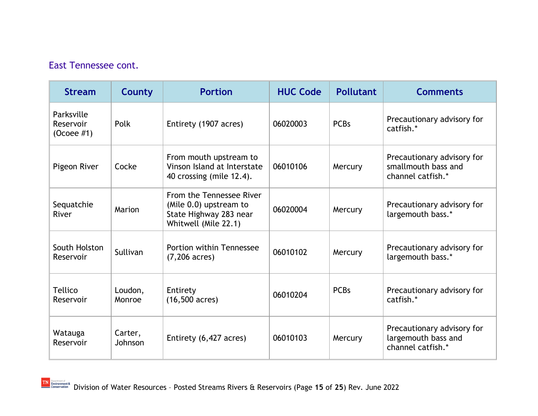| <b>Stream</b>                                     | <b>County</b>      | <b>Portion</b>                                                                                       | <b>HUC Code</b> | <b>Pollutant</b> | <b>Comments</b>                                                        |
|---------------------------------------------------|--------------------|------------------------------------------------------------------------------------------------------|-----------------|------------------|------------------------------------------------------------------------|
| Parksville<br>Reservoir<br>(O <sub>coee</sub> #1) | Polk               | Entirety (1907 acres)                                                                                | 06020003        | <b>PCBs</b>      | Precautionary advisory for<br>catfish.*                                |
| Pigeon River                                      | Cocke              | From mouth upstream to<br>Vinson Island at Interstate<br>40 crossing (mile 12.4).                    | 06010106        | Mercury          | Precautionary advisory for<br>smallmouth bass and<br>channel catfish.* |
| Sequatchie<br>River                               | Marion             | From the Tennessee River<br>(Mile 0.0) upstream to<br>State Highway 283 near<br>Whitwell (Mile 22.1) | 06020004        | Mercury          | Precautionary advisory for<br>largemouth bass.*                        |
| South Holston<br>Reservoir                        | Sullivan           | Portion within Tennessee<br>$(7,206 \text{ acres})$                                                  | 06010102        | Mercury          | Precautionary advisory for<br>largemouth bass.*                        |
| <b>Tellico</b><br>Reservoir                       | Loudon,<br>Monroe  | Entirety<br>$(16,500 \text{ acres})$                                                                 | 06010204        | <b>PCBs</b>      | Precautionary advisory for<br>catfish.*                                |
| Watauga<br>Reservoir                              | Carter,<br>Johnson | Entirety (6,427 acres)                                                                               | 06010103        | Mercury          | Precautionary advisory for<br>largemouth bass and<br>channel catfish.* |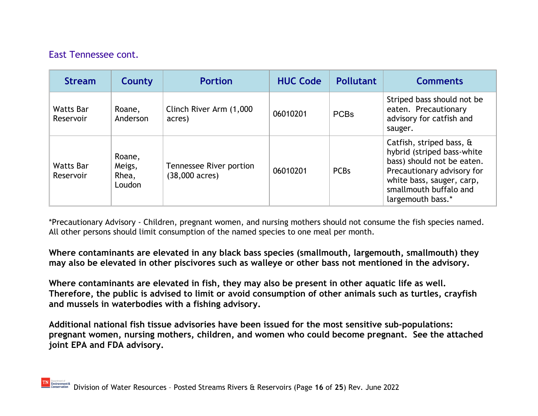| <b>Stream</b>                 | County                              | <b>Portion</b>                                      | <b>HUC Code</b> | <b>Pollutant</b> | <b>Comments</b>                                                                                                                                                                                |
|-------------------------------|-------------------------------------|-----------------------------------------------------|-----------------|------------------|------------------------------------------------------------------------------------------------------------------------------------------------------------------------------------------------|
| <b>Watts Bar</b><br>Reservoir | Roane,<br>Anderson                  | Clinch River Arm (1,000<br>acres)                   | 06010201        | <b>PCBs</b>      | Striped bass should not be<br>eaten. Precautionary<br>advisory for catfish and<br>sauger.                                                                                                      |
| <b>Watts Bar</b><br>Reservoir | Roane,<br>Meigs,<br>Rhea,<br>Loudon | Tennessee River portion<br>$(38,000 \text{ acres})$ | 06010201        | <b>PCBs</b>      | Catfish, striped bass, &<br>hybrid (striped bass-white<br>bass) should not be eaten.<br>Precautionary advisory for<br>white bass, sauger, carp,<br>smallmouth buffalo and<br>largemouth bass.* |

\*Precautionary Advisory - Children, pregnant women, and nursing mothers should not consume the fish species named. All other persons should limit consumption of the named species to one meal per month.

**Where contaminants are elevated in any black bass species (smallmouth, largemouth, smallmouth) they may also be elevated in other piscivores such as walleye or other bass not mentioned in the advisory.** 

**Where contaminants are elevated in fish, they may also be present in other aquatic life as well. Therefore, the public is advised to limit or avoid consumption of other animals such as turtles, crayfish and mussels in waterbodies with a fishing advisory.**

**Additional national fish tissue advisories have been issued for the most sensitive sub-populations: pregnant women, nursing mothers, children, and women who could become pregnant. See the attached joint EPA and FDA advisory.**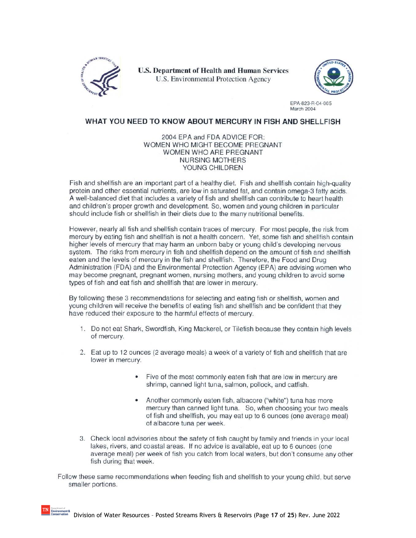

**U.S. Department of Health and Human Services** U.S. Environmental Protection Agency



EPA-823-R-04-005 **March 2004** 

#### WHAT YOU NEED TO KNOW ABOUT MERCURY IN FISH AND SHELLFISH

2004 EPA and FDA ADVICE FOR: WOMEN WHO MIGHT BECOME PREGNANT WOMEN WHO ARE PREGNANT **NURSING MOTHERS** YOUNG CHILDREN

Fish and shellfish are an important part of a healthy diet. Fish and shellfish contain high-quality protein and other essential nutrients, are low in saturated fat, and contain omega-3 fatty acids. A well-balanced diet that includes a variety of fish and shellfish can contribute to heart health and children's proper growth and development. So, women and young children in particular should include fish or shellfish in their diets due to the many nutritional benefits.

However, nearly all fish and shellfish contain traces of mercury. For most people, the risk from mercury by eating fish and shellfish is not a health concern. Yet, some fish and shellfish contain higher levels of mercury that may harm an unborn baby or young child's developing nervous system. The risks from mercury in fish and shellfish depend on the amount of fish and shellfish eaten and the levels of mercury in the fish and shellfish. Therefore, the Food and Drug Administration (FDA) and the Environmental Protection Agency (EPA) are advising women who may become pregnant, pregnant women, nursing mothers, and young children to avoid some types of fish and eat fish and shellfish that are lower in mercury.

By following these 3 recommendations for selecting and eating fish or shellfish, women and young children will receive the benefits of eating fish and shellfish and be confident that they have reduced their exposure to the harmful effects of mercury.

- 1. Do not eat Shark, Swordfish, King Mackerel, or Tilefish because they contain high levels of mercury.
- 2. Eat up to 12 ounces (2 average meals) a week of a variety of fish and shellfish that are lower in mercury.
	- Five of the most commonly eaten fish that are low in mercury are shrimp, canned light tuna, salmon, pollock, and catfish.
	- Another commonly eaten fish, albacore ("white") tuna has more mercury than canned light tuna. So, when choosing your two meals of fish and shellfish, you may eat up to 6 ounces (one average meal) of albacore tuna per week.
- 3. Check local advisories about the safety of fish caught by family and friends in your local lakes, rivers, and coastal areas. If no advice is available, eat up to 6 ounces (one average meal) per week of fish you catch from local waters, but don't consume any other fish during that week.

Follow these same recommendations when feeding fish and shellfish to your young child, but serve smaller portions.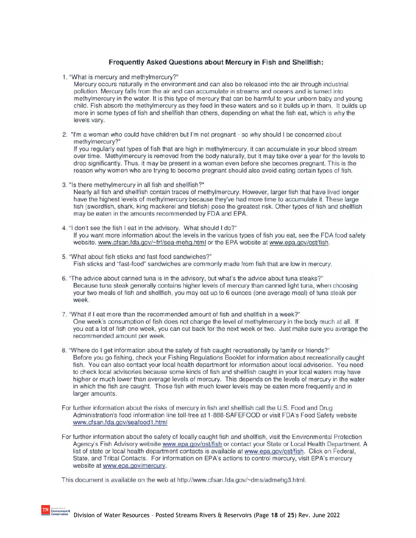#### Frequently Asked Questions about Mercury in Fish and Shellfish:

1. "What is mercury and methylmercury?"

Mercury occurs naturally in the environment and can also be released into the air through industrial pollution. Mercury falls from the air and can accumulate in streams and oceans and is turned into methylmercury in the water. It is this type of mercury that can be harmful to your unborn baby and young child. Fish absorb the methylmercury as they feed in these waters and so it builds up in them. It builds up more in some types of fish and shellfish than others, depending on what the fish eat, which is why the levels vary.

2. "I'm a woman who could have children but I'm not pregnant - so why should I be concerned about methylmercury?"

If you regularly eat types of fish that are high in methylmercury, it can accumulate in your blood stream over time. Methylmercury is removed from the body naturally, but it may take over a year for the levels to drop significantly. Thus, it may be present in a woman even before she becomes pregnant. This is the reason why women who are trying to become pregnant should also avoid eating certain types of fish.

3. "Is there methylmercury in all fish and shellfish?"

Nearly all fish and shellfish contain traces of methylmercury. However, larger fish that have lived longer have the highest levels of methylmercury because they've had more time to accumulate it. These large fish (swordfish, shark, king mackerel and tilefish) pose the greatest risk. Other types of fish and shellfish may be eaten in the amounts recommended by FDA and EPA.

- 4. "I don't see the fish I eat in the advisory. What should I do?" If you want more information about the levels in the various types of fish you eat, see the FDA food safety website. www.cfsan.fda.gov/~frf/sea-mehg.html or the EPA website at www.epa.gov/ost/fish.
- 5. "What about fish sticks and fast food sandwiches?" Fish sticks and "fast-food" sandwiches are commonly made from fish that are low in mercury.
- 6. "The advice about canned tuna is in the advisory, but what's the advice about tuna steaks?" Because tuna steak generally contains higher levels of mercury than canned light tuna, when choosing your two meals of fish and shellfish, you may eat up to 6 ounces (one average meal) of tuna steak per week.
- 7. "What if I eat more than the recommended amount of fish and shellfish in a week?" One week's consumption of fish does not change the level of methylmercury in the body much at all. If you eat a lot of fish one week, you can cut back for the next week or two. Just make sure you average the recommended amount per week.
- 8. "Where do I get information about the safety of fish caught recreationally by family or friends?" Before you go fishing, check your Fishing Regulations Booklet for information about recreationally caught fish. You can also contact your local health department for information about local advisories. You need to check local advisories because some kinds of fish and shellfish caught in your local waters may have higher or much lower than average levels of mercury. This depends on the levels of mercury in the water in which the fish are caught. Those fish with much lower levels may be eaten more frequently and in larger amounts.
- For further information about the risks of mercury in fish and shellfish call the U.S. Food and Drug Administration's food information line toll-free at 1-888-SAFEFOOD or visit FDA's Food Safety website www.cfsan.fda.gov/seafood1.html
- For further information about the safety of locally caught fish and shellfish, visit the Environmental Protection Agency's Fish Advisory website www.epa.gov/ost/fish or contact your State or Local Health Department. A list of state or local health department contacts is available at www.epa.gov/ost/fish. Click on Federal, State, and Tribal Contacts. For information on EPA's actions to control mercury, visit EPA's mercury website at www.epa.gov/mercury.

This document is available on the web at http://www.cfsan.fda.gov/~dms/admehg3.html.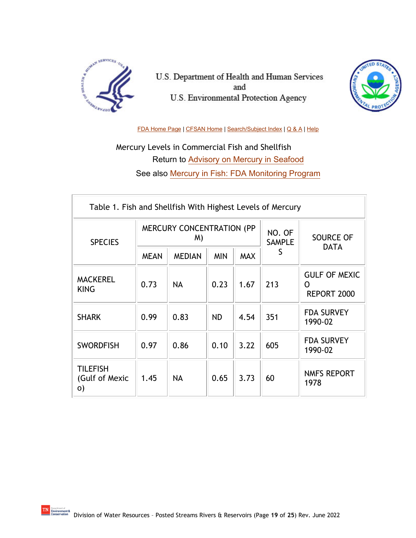

U.S. Department of Health and Human Services and U.S. Environmental Protection Agency



[FDA Home Page](http://www.fda.gov/default.htm) [| CFSAN Home](http://www.cfsan.fda.gov/list.html) [| Search/Subject Index](http://www.cfsan.fda.gov/%7Edms/wsearch.html) | [Q & A](http://www.cfsan.fda.gov/%7Edms/qa-top.html) | [Help](http://www.cfsan.fda.gov/%7Edms/help.html)

Mercury Levels in Commercial Fish and Shellfish Return to [Advisory on Mercury in Seafood](http://www.cfsan.fda.gov/%7Edms/admehg3.html) See also [Mercury in Fish: FDA Monitoring Program](http://www.cfsan.fda.gov/%7Efrf/seamehg2.html)

| Table 1. Fish and Shellfish With Highest Levels of Mercury |             |                                        |            |                         |                  |                                          |  |  |
|------------------------------------------------------------|-------------|----------------------------------------|------------|-------------------------|------------------|------------------------------------------|--|--|
| <b>SPECIES</b>                                             |             | <b>MERCURY CONCENTRATION (PP</b><br>M) |            | NO. OF<br><b>SAMPLE</b> | <b>SOURCE OF</b> |                                          |  |  |
|                                                            | <b>MEAN</b> | <b>MEDIAN</b>                          | <b>MIN</b> | <b>MAX</b>              | S                | <b>DATA</b>                              |  |  |
| <b>MACKEREL</b><br><b>KING</b>                             | 0.73        | <b>NA</b>                              | 0.23       | 1.67                    | 213              | <b>GULF OF MEXIC</b><br>O<br>REPORT 2000 |  |  |
| <b>SHARK</b>                                               | 0.99        | 0.83                                   | <b>ND</b>  | 4.54                    | 351              | <b>FDA SURVEY</b><br>1990-02             |  |  |
| <b>SWORDFISH</b>                                           | 0.97        | 0.86                                   | 0.10       | 3.22                    | 605              | <b>FDA SURVEY</b><br>1990-02             |  |  |
| <b>TILEFISH</b><br>(Gulf of Mexic<br>O)                    | 1.45        | <b>NA</b>                              | 0.65       | 3.73                    | 60               | <b>NMFS REPORT</b><br>1978               |  |  |

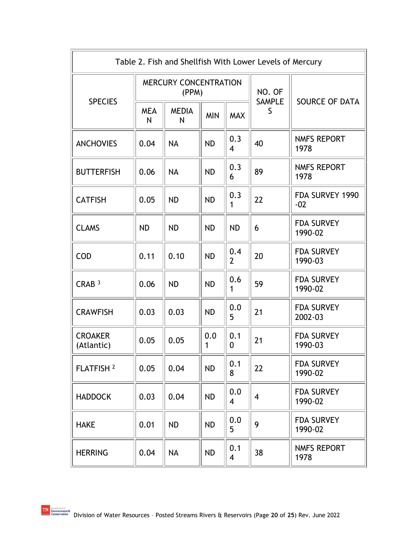| Table 2. Fish and Shellfish With Lower Levels of Mercury |                 |                                       |            |                       |                         |                              |  |
|----------------------------------------------------------|-----------------|---------------------------------------|------------|-----------------------|-------------------------|------------------------------|--|
| <b>SPECIES</b>                                           |                 | <b>MERCURY CONCENTRATION</b><br>(PPM) |            |                       | NO. OF<br><b>SAMPLE</b> | <b>SOURCE OF DATA</b>        |  |
|                                                          | <b>MEA</b><br>N | <b>MEDIA</b><br>N                     | <b>MIN</b> | <b>MAX</b>            | S                       |                              |  |
| <b>ANCHOVIES</b>                                         | 0.04            | <b>NA</b>                             | <b>ND</b>  | 0.3<br>4              | 40                      | <b>NMFS REPORT</b><br>1978   |  |
| <b>BUTTERFISH</b>                                        | 0.06            | <b>NA</b>                             | <b>ND</b>  | 0.3<br>6              | 89                      | <b>NMFS REPORT</b><br>1978   |  |
| <b>CATFISH</b>                                           | 0.05            | <b>ND</b>                             | <b>ND</b>  | 0.3<br>1              | 22                      | FDA SURVEY 1990<br>$-02$     |  |
| <b>CLAMS</b>                                             | <b>ND</b>       | <b>ND</b>                             | <b>ND</b>  | <b>ND</b>             | 6                       | <b>FDA SURVEY</b><br>1990-02 |  |
| <b>COD</b>                                               | 0.11            | 0.10                                  | <b>ND</b>  | 0.4<br>$\overline{2}$ | 20                      | <b>FDA SURVEY</b><br>1990-03 |  |
| CRAB <sup>3</sup>                                        | 0.06            | <b>ND</b>                             | <b>ND</b>  | 0.6<br>1              | 59                      | <b>FDA SURVEY</b><br>1990-02 |  |
| <b>CRAWFISH</b>                                          | 0.03            | 0.03                                  | <b>ND</b>  | 0.0<br>5              | 21                      | <b>FDA SURVEY</b><br>2002-03 |  |
| <b>CROAKER</b><br>(Atlantic)                             | 0.05            | 0.05                                  | 0.0<br>1   | 0.1<br>0              | 21                      | <b>FDA SURVEY</b><br>1990-03 |  |
| FLATFISH <sup>2</sup>                                    | 0.05            | 0.04                                  | <b>ND</b>  | 0.1<br>8              | 22                      | <b>FDA SURVEY</b><br>1990-02 |  |
| <b>HADDOCK</b>                                           | 0.03            | 0.04                                  | <b>ND</b>  | 0.0<br>$\overline{4}$ | $\overline{4}$          | <b>FDA SURVEY</b><br>1990-02 |  |
| <b>HAKE</b>                                              | 0.01            | <b>ND</b>                             | <b>ND</b>  | 0.0<br>5              | 9                       | <b>FDA SURVEY</b><br>1990-02 |  |
| <b>HERRING</b>                                           | 0.04            | <b>NA</b>                             | ND         | 0.1<br>$\overline{4}$ | 38                      | NMFS REPORT<br>1978          |  |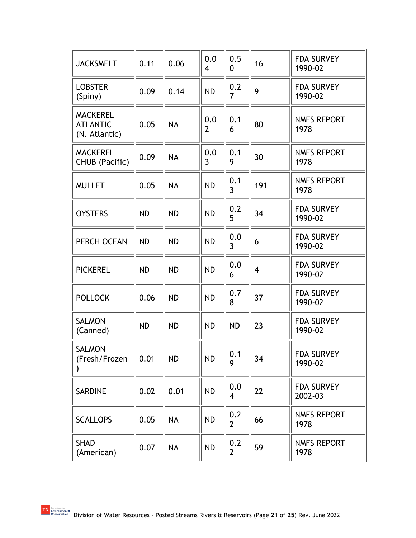| <b>JACKSMELT</b>                                    | 0.11      | 0.06      | 0.0<br>4              | 0.5<br>0              | 16             | <b>FDA SURVEY</b><br>1990-02 |
|-----------------------------------------------------|-----------|-----------|-----------------------|-----------------------|----------------|------------------------------|
| <b>LOBSTER</b><br>(Spiny)                           | 0.09      | 0.14      | <b>ND</b>             | 0.2<br>7              | 9              | <b>FDA SURVEY</b><br>1990-02 |
| <b>MACKEREL</b><br><b>ATLANTIC</b><br>(N. Atlantic) | 0.05      | <b>NA</b> | 0.0<br>$\overline{2}$ | 0.1<br>6              | 80             | <b>NMFS REPORT</b><br>1978   |
| <b>MACKEREL</b><br>CHUB (Pacific)                   | 0.09      | <b>NA</b> | 0.0<br>$\overline{3}$ | 0.1<br>9              | 30             | <b>NMFS REPORT</b><br>1978   |
| <b>MULLET</b>                                       | 0.05      | <b>NA</b> | <b>ND</b>             | 0.1<br>$\overline{3}$ | 191            | <b>NMFS REPORT</b><br>1978   |
| <b>OYSTERS</b>                                      | <b>ND</b> | <b>ND</b> | <b>ND</b>             | 0.2<br>5              | 34             | <b>FDA SURVEY</b><br>1990-02 |
| PERCH OCEAN                                         | <b>ND</b> | <b>ND</b> | <b>ND</b>             | 0.0<br>$\overline{3}$ | 6              | <b>FDA SURVEY</b><br>1990-02 |
| <b>PICKEREL</b>                                     | <b>ND</b> | <b>ND</b> | <b>ND</b>             | 0.0<br>6              | $\overline{4}$ | <b>FDA SURVEY</b><br>1990-02 |
| <b>POLLOCK</b>                                      | 0.06      | <b>ND</b> | <b>ND</b>             | 0.7<br>8              | 37             | <b>FDA SURVEY</b><br>1990-02 |
| <b>SALMON</b><br>(Canned)                           | <b>ND</b> | <b>ND</b> | <b>ND</b>             | <b>ND</b>             | 23             | <b>FDA SURVEY</b><br>1990-02 |
| <b>SALMON</b><br>(Fresh/Frozen                      | 0.01      | <b>ND</b> | <b>ND</b>             | 0.1<br>9              | 34             | <b>FDA SURVEY</b><br>1990-02 |
| <b>SARDINE</b>                                      | 0.02      | 0.01      | <b>ND</b>             | 0.0<br>4              | 22             | <b>FDA SURVEY</b><br>2002-03 |
| <b>SCALLOPS</b>                                     | 0.05      | <b>NA</b> | <b>ND</b>             | 0.2<br>$\overline{2}$ | 66             | NMFS REPORT<br>1978          |
| SHAD<br>(American)                                  | 0.07      | <b>NA</b> | <b>ND</b>             | 0.2<br>$\overline{2}$ | 59             | <b>NMFS REPORT</b><br>1978   |

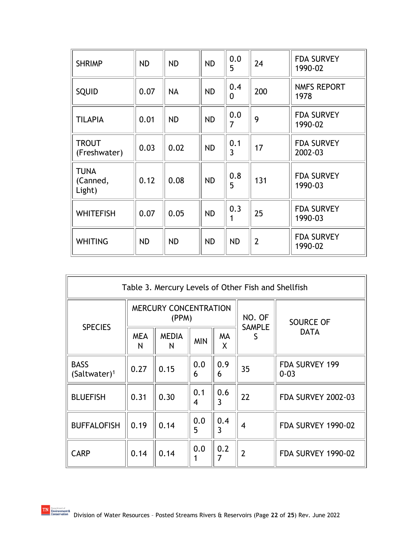| <b>SHRIMP</b>                     | <b>ND</b> | <b>ND</b> | <b>ND</b> | 0.0<br>5        | 24             | <b>FDA SURVEY</b><br>1990-02 |
|-----------------------------------|-----------|-----------|-----------|-----------------|----------------|------------------------------|
| <b>SQUID</b>                      | 0.07      | <b>NA</b> | <b>ND</b> | 0.4<br>$\Omega$ | 200            | <b>NMFS REPORT</b><br>1978   |
| <b>TILAPIA</b>                    | 0.01      | <b>ND</b> | <b>ND</b> | 0.0<br>7        | 9              | <b>FDA SURVEY</b><br>1990-02 |
| <b>TROUT</b><br>(Freshwater)      | 0.03      | 0.02      | <b>ND</b> | 0.1<br>3        | 17             | <b>FDA SURVEY</b><br>2002-03 |
| <b>TUNA</b><br>(Canned,<br>Light) | 0.12      | 0.08      | <b>ND</b> | 0.8<br>5        | 131            | <b>FDA SURVEY</b><br>1990-03 |
| <b>WHITEFISH</b>                  | 0.07      | 0.05      | <b>ND</b> | 0.3<br>1        | 25             | <b>FDA SURVEY</b><br>1990-03 |
| <b>WHITING</b>                    | <b>ND</b> | <b>ND</b> | <b>ND</b> | <b>ND</b>       | $\overline{2}$ | <b>FDA SURVEY</b><br>1990-02 |

| Table 3. Mercury Levels of Other Fish and Shellfish |                 |                                       |            |                       |                    |                                 |  |  |  |
|-----------------------------------------------------|-----------------|---------------------------------------|------------|-----------------------|--------------------|---------------------------------|--|--|--|
| <b>SPECIES</b>                                      |                 | <b>MERCURY CONCENTRATION</b><br>(PPM) |            |                       | NO. OF             | <b>SOURCE OF</b><br><b>DATA</b> |  |  |  |
|                                                     | <b>MEA</b><br>N | <b>MEDIA</b><br>N                     | <b>MIN</b> | MA<br>X               | <b>SAMPLE</b><br>S |                                 |  |  |  |
| <b>BASS</b><br>$(Saltwater)^1$                      | 0.27            | 0.15                                  | 0.0<br>6   | 0.9<br>6              | 35                 | FDA SURVEY 199<br>$0 - 03$      |  |  |  |
| <b>BLUEFISH</b>                                     | 0.31            | 0.30                                  | 0.1<br>4   | 0.6<br>3              | 22                 | <b>FDA SURVEY 2002-03</b>       |  |  |  |
| <b>BUFFALOFISH</b>                                  | 0.19            | 0.14                                  | 0.0<br>5   | 0.4<br>$\overline{3}$ | 4                  | <b>FDA SURVEY 1990-02</b>       |  |  |  |
| <b>CARP</b>                                         | 0.14            | 0.14                                  | 0.0        | 0.2<br>7              | $\overline{2}$     | <b>FDA SURVEY 1990-02</b>       |  |  |  |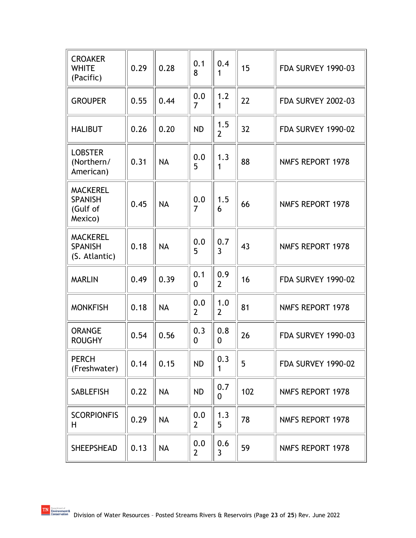| <b>CROAKER</b><br><b>WHITE</b><br>(Pacific)              | 0.29 | 0.28      | 0.1<br>8              | 0.4<br>1              | 15  | <b>FDA SURVEY 1990-03</b> |
|----------------------------------------------------------|------|-----------|-----------------------|-----------------------|-----|---------------------------|
| <b>GROUPER</b>                                           | 0.55 | 0.44      | 0.0<br>$\overline{7}$ | 1.2<br>1              | 22  | <b>FDA SURVEY 2002-03</b> |
| <b>HALIBUT</b>                                           | 0.26 | 0.20      | <b>ND</b>             | 1.5<br>$\overline{2}$ | 32  | <b>FDA SURVEY 1990-02</b> |
| <b>LOBSTER</b><br>(Northern/<br>American)                | 0.31 | <b>NA</b> | 0.0<br>5              | 1.3<br>1              | 88  | <b>NMFS REPORT 1978</b>   |
| <b>MACKEREL</b><br><b>SPANISH</b><br>(Gulf of<br>Mexico) | 0.45 | <b>NA</b> | 0.0<br>$\overline{7}$ | 1.5<br>6              | 66  | <b>NMFS REPORT 1978</b>   |
| <b>MACKEREL</b><br><b>SPANISH</b><br>(S. Atlantic)       | 0.18 | <b>NA</b> | 0.0<br>5              | 0.7<br>$\overline{3}$ | 43  | <b>NMFS REPORT 1978</b>   |
| <b>MARLIN</b>                                            | 0.49 | 0.39      | 0.1<br>0              | 0.9<br>$\overline{2}$ | 16  | <b>FDA SURVEY 1990-02</b> |
| <b>MONKFISH</b>                                          | 0.18 | <b>NA</b> | 0.0<br>$\overline{2}$ | 1.0<br>$\overline{2}$ | 81  | <b>NMFS REPORT 1978</b>   |
| <b>ORANGE</b><br><b>ROUGHY</b>                           | 0.54 | 0.56      | 0.3<br>0              | 0.8<br>0              | 26  | <b>FDA SURVEY 1990-03</b> |
| <b>PERCH</b><br>(Freshwater)                             | 0.14 | 0.15      | <b>ND</b>             | 0.3<br>1              | 5   | <b>FDA SURVEY 1990-02</b> |
| <b>SABLEFISH</b>                                         | 0.22 | <b>NA</b> | <b>ND</b>             | 0.7<br>$\mathbf{0}$   | 102 | <b>NMFS REPORT 1978</b>   |
| <b>SCORPIONFIS</b><br>H.                                 | 0.29 | <b>NA</b> | 0.0<br>$\overline{2}$ | 1.3<br>5              | 78  | <b>NMFS REPORT 1978</b>   |
| <b>SHEEPSHEAD</b>                                        | 0.13 | <b>NA</b> | 0.0<br>2              | 0.6<br>3              | 59  | NMFS REPORT 1978          |

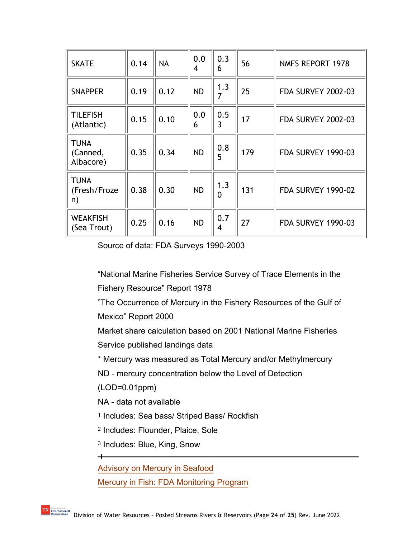| <b>SKATE</b>                         | 0.14 | <b>NA</b> | 0.0<br>4  | 0.3<br>6              | 56  | <b>NMFS REPORT 1978</b>   |
|--------------------------------------|------|-----------|-----------|-----------------------|-----|---------------------------|
| <b>SNAPPER</b>                       | 0.19 | 0.12      | <b>ND</b> | 1.3<br>7              | 25  | <b>FDA SURVEY 2002-03</b> |
| <b>TILEFISH</b><br>(Atlantic)        | 0.15 | 0.10      | 0.0<br>6  | 0.5<br>3              | 17  | <b>FDA SURVEY 2002-03</b> |
| <b>TUNA</b><br>(Canned,<br>Albacore) | 0.35 | 0.34      | <b>ND</b> | 0.8<br>5              | 179 | <b>FDA SURVEY 1990-03</b> |
| <b>TUNA</b><br>(Fresh/Froze<br>n)    | 0.38 | 0.30      | <b>ND</b> | 1.3<br>$\overline{0}$ | 131 | <b>FDA SURVEY 1990-02</b> |
| <b>WEAKFISH</b><br>(Sea Trout)       | 0.25 | 0.16      | <b>ND</b> | 0.7<br>4              | 27  | <b>FDA SURVEY 1990-03</b> |

Source of data: FDA Surveys 1990-2003

"National Marine Fisheries Service Survey of Trace Elements in the Fishery Resource" Report 1978

"The Occurrence of Mercury in the Fishery Resources of the Gulf of Mexico" Report 2000

Market share calculation based on 2001 National Marine Fisheries Service published landings data

\* Mercury was measured as Total Mercury and/or Methylmercury

ND - mercury concentration below the Level of Detection

(LOD=0.01ppm)

NA - data not available

<sup>1</sup> Includes: Sea bass/ Striped Bass/ Rockfish

<sup>2</sup> Includes: Flounder, Plaice, Sole

<sup>3</sup> Includes: Blue, King, Snow

[Advisory on Mercury in Seafood](http://www.cfsan.fda.gov/%7Edms/admehg3.html)

[Mercury in Fish: FDA Monitoring Program](http://www.cfsan.fda.gov/%7Efrf/seamehg2.html)